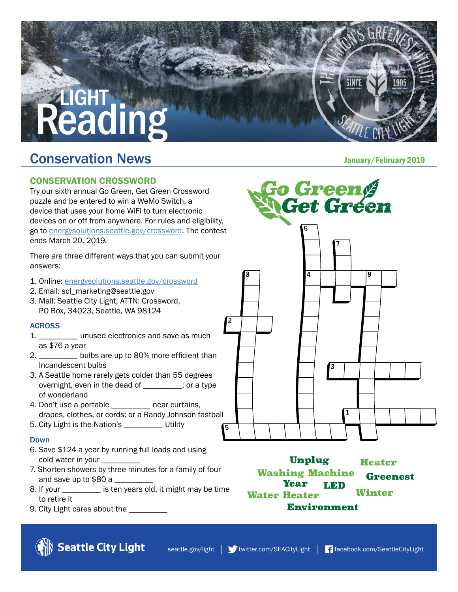# **.IGHT** Reading

### **Conservation News Conservation News**

#### CONSERVATION CROSSWORD

Try our sixth annual Go Green, Get Green Crossword puzzle and be entered to win a WeMo Switch, a device that uses your home WiFi to turn electronic devices on or off from anywhere. For rules and eligibility, go to [energysolutions.seattle.gov/crossword](http://www.energysolutions.seattle.gov/crossword). The contest ends March 20, 2019.

There are three different ways that you can submit your answers:

- 1. Online: [energysolutions.seattle.gov/crossword](http://www.energysolutions.seattle.gov/crossword)
- 2. Email: scl\_marketing@seattle.gov
- 3. Mail: Seattle City Light, ATTN: Crossword, PO Box, 34023, Seattle, WA 98124

#### **ACROSS**

- 1. \_\_\_\_\_\_\_\_\_\_ unused electronics and save as much as \$76 a year
- 2. \_\_\_\_\_\_\_\_\_\_ bulbs are up to 80% more efficient than Incandescent bulbs
- 3. A Seattle home rarely gets colder than 55 degrees overnight, even in the dead of \_\_\_\_\_\_\_\_\_\_ ; or a type of wonderland
- 4. Don't use a portable near curtains, drapes, clothes, or cords; or a Randy Johnson fastball
- 5. City Light is the Nation's \_\_\_\_\_\_\_\_\_\_ Utility

#### Down

- 6. Save \$124 a year by running full loads and using cold water in your \_
- 7. Shorten showers by three minutes for a family of four and save up to \$80 a \_\_\_\_\_\_\_\_\_\_
- 8. If your \_\_\_\_\_\_\_\_\_\_ is ten years old, it might may be time to retire it
- 9. City Light cares about the \_\_\_\_\_\_\_\_\_\_

Seattle City Light



Unplug **Heater Washing Machine Greenest Year LED** Winter **Water Heater Environment**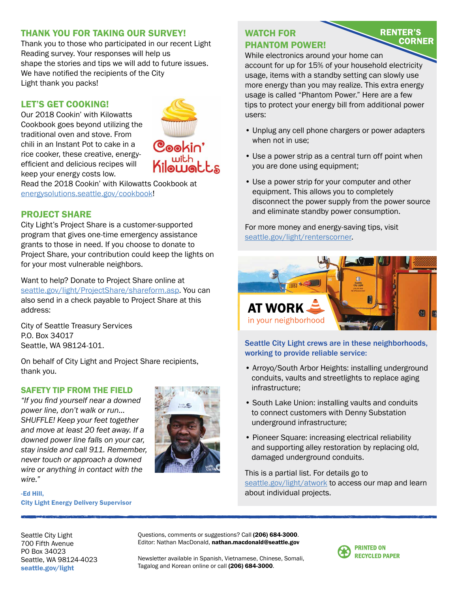#### THANK YOU FOR TAKING OUR SURVEY!

Thank you to those who participated in our recent Light Reading survey. Your responses will help us shape the stories and tips we will add to future issues. We have notified the recipients of the City Light thank you packs!

#### LET'S GET COOKING!

Our 2018 Cookin' with Kilowatts Cookbook goes beyond utilizing the traditional oven and stove. From chili in an Instant Pot to cake in a rice cooker, these creative, energyefficient and delicious recipes will keep your energy costs low.



Read the 2018 Cookin' with Kilowatts Cookbook at [energysolutions.seattle.gov/cookbook!](http://www.energysolutions.seattle.gov/cookbook)

#### PROJECT SHARE

City Light's Project Share is a customer-supported program that gives one-time emergency assistance grants to those in need. If you choose to donate to Project Share, your contribution could keep the lights on for your most vulnerable neighbors.

Want to help? Donate to Project Share online at [seattle.gov/light/ProjectShare/shareform.asp.](http://www.seattle.gov/light/ProjectShare/shareform.asp) You can also send in a check payable to Project Share at this address:

City of Seattle Treasury Services P.O. Box 34017 Seattle, WA 98124-101.

On behalf of City Light and Project Share recipients, thank you.

#### SAFETY TIP FROM THE FIELD

*"If you find yourself near a downed power line, don't walk or run… SHUFFLE! Keep your feet together and move at least 20 feet away. If a downed power line falls on your car, stay inside and call 911. Remember, never touch or approach a downed wire or anything in contact with the wire."*



-Ed Hill, City Light Energy Delivery Supervisor

#### WATCH FOR PHANTOM POWER!

#### **RENTER'S CORNER**

While electronics around your home can account for up for 15% of your household electricity usage, items with a standby setting can slowly use more energy than you may realize. This extra energy usage is called "Phantom Power." Here are a few tips to protect your energy bill from additional power users:

- Unplug any cell phone chargers or power adapters when not in use;
- Use a power strip as a central turn off point when you are done using equipment;
- Use a power strip for your computer and other equipment. This allows you to completely disconnect the power supply from the power source and eliminate standby power consumption.

For more money and energy-saving tips, visit [seattle.gov/light/renterscorner.](http://www.seattle.gov/light/renterscorner)



Seattle City Light crews are in these neighborhoods, working to provide reliable service:

- Arroyo/South Arbor Heights: installing underground conduits, vaults and streetlights to replace aging infrastructure;
- South Lake Union: installing vaults and conduits to connect customers with Denny Substation underground infrastructure;
- Pioneer Square: increasing electrical reliability and supporting alley restoration by replacing old, damaged underground conduits.

This is a partial list. For details go to [seattle.gov/light/atwork](http://www.seattle.gov/light/atwork) to access our map and learn about individual projects.

Seattle City Light 700 Fifth Avenue PO Box 34023 Seattle, WA 98124-4023 [seattle.gov/light](http://www.seattle.gov/light)

Questions, comments or suggestions? Call (206) 684-3000. Editor: Nathan MacDonald, nathan.macdonald@seattle.gov

Newsletter available in Spanish, Vietnamese, Chinese, Somali, Tagalog and Korean online or call (206) 684-3000.

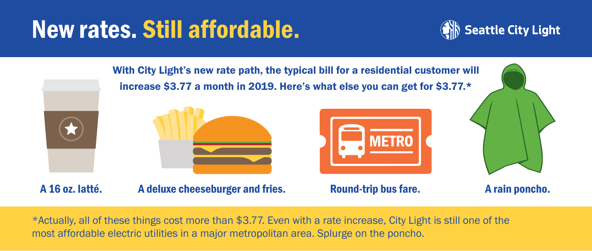# New rates. Still affordable.





\*Actually, all of these things cost more than \$3.77. Even with a rate increase, City Light is still one of the most affordable electric utilities in a major metropolitan area. Splurge on the poncho.